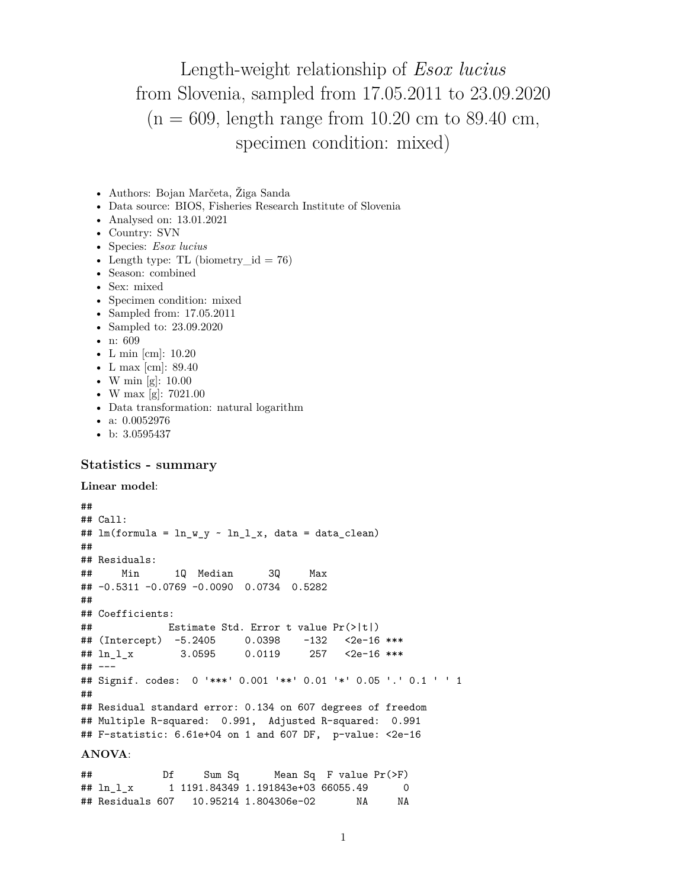Length-weight relationship of *Esox lucius* from Slovenia, sampled from 17.05.2011 to 23.09.2020  $(n = 609, \text{ length range from } 10.20 \text{ cm to } 89.40 \text{ cm}$ , specimen condition: mixed)

- Authors: Bojan Marčeta, Žiga Sanda
- Data source: BIOS, Fisheries Research Institute of Slovenia
- Analysed on: 13.01.2021
- Country: SVN
- Species: *Esox lucius*
- Length type: TL (biometry  $id = 76$ )
- Season: combined
- Sex: mixed
- Specimen condition: mixed
- Sampled from: 17.05.2011
- Sampled to: 23.09.2020
- n: 609
- L min [cm]: 10.20
- L max [cm]: 89.40
- W min [g]: 10.00
- W max [g]: 7021.00
- Data transformation: natural logarithm
- a: 0.0052976
- b: 3.0595437

## **Statistics - summary**

```
Linear model:
```

```
##
## Call:
## lm(formula = ln_w_y ~ n_l_l_x, data = data_clean)##
## Residuals:
## Min 1Q Median 3Q Max
## -0.5311 -0.0769 -0.0090 0.0734 0.5282
##
## Coefficients:
## Estimate Std. Error t value Pr(>|t|)
## (Intercept) -5.2405 0.0398 -132 <2e-16 ***
## ln_l_x 3.0595 0.0119 257 <2e-16 ***
## ---
## Signif. codes: 0 '***' 0.001 '**' 0.01 '*' 0.05 '.' 0.1 ' ' 1
##
## Residual standard error: 0.134 on 607 degrees of freedom
## Multiple R-squared: 0.991, Adjusted R-squared: 0.991
## F-statistic: 6.61e+04 on 1 and 607 DF, p-value: <2e-16
ANOVA:
```
## Df Sum Sq Mean Sq F value Pr(>F) ## ln\_l\_x 1 1191.84349 1.191843e+03 66055.49 0 ## Residuals 607 10.95214 1.804306e-02 NA NA